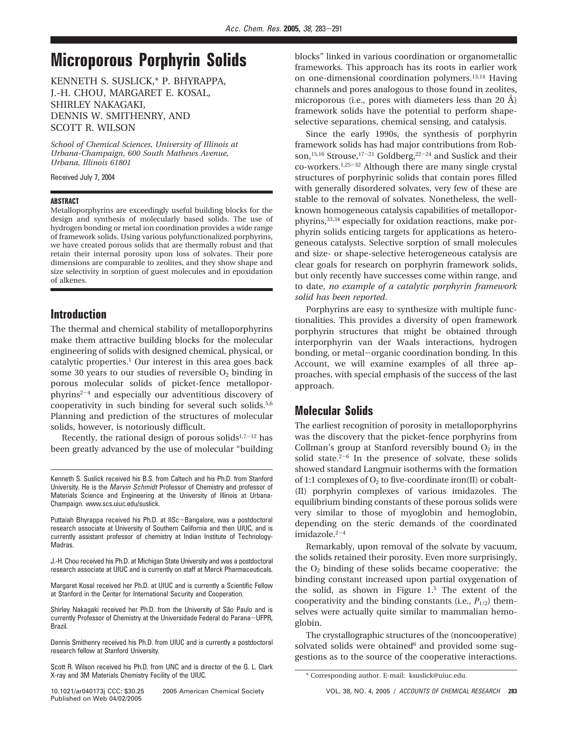# **Microporous Porphyrin Solids**

KENNETH S. SUSLICK,\* P. BHYRAPPA, J.-H. CHOU, MARGARET E. KOSAL, SHIRLEY NAKAGAKI, DENNIS W. SMITHENRY, AND SCOTT R. WILSON

*School of Chemical Sciences, University of Illinois at Urbana-Champaign, 600 South Mathews Avenue, Urbana, Illinois 61801*

Received July 7, 2004

#### **ABSTRACT**

Metalloporphyrins are exceedingly useful building blocks for the design and synthesis of molecularly based solids. The use of hydrogen bonding or metal ion coordination provides a wide range of framework solids. Using various polyfunctionalized porphyrins, we have created porous solids that are thermally robust and that retain their internal porosity upon loss of solvates. Their pore dimensions are comparable to zeolites, and they show shape and size selectivity in sorption of guest molecules and in epoxidation of alkenes.

## **Introduction**

The thermal and chemical stability of metalloporphyrins make them attractive building blocks for the molecular engineering of solids with designed chemical, physical, or catalytic properties.<sup>1</sup> Our interest in this area goes back some 30 years to our studies of reversible  $O_2$  binding in porous molecular solids of picket-fence metalloporphyrins<sup> $2-4$ </sup> and especially our adventitious discovery of cooperativity in such binding for several such solids.5,6 Planning and prediction of the structures of molecular solids, however, is notoriously difficult.

Recently, the rational design of porous solids $1,7-12$  has been greatly advanced by the use of molecular "building

J.-H. Chou received his Ph.D. at Michigan State University and was a postdoctoral research associate at UIUC and is currently on staff at Merck Pharmaceuticals.

Margaret Kosal received her Ph.D. at UIUC and is currently a Scientific Fellow at Stanford in the Center for International Security and Cooperation.

Shirley Nakagaki received her Ph.D. from the University of São Paulo and is currently Professor of Chemistry at the Universidade Federal do Parana-UFPR, Brazil.

Dennis Smithenry received his Ph.D. from UIUC and is currently a postdoctoral research fellow at Stanford University.

Scott R. Wilson received his Ph.D. from UNC and is director of the G. L. Clark X-ray and 3M Materials Chemistry Facility of the UIUC.

Published on Web 04/02/2005

blocks" linked in various coordination or organometallic frameworks. This approach has its roots in earlier work on one-dimensional coordination polymers.13,14 Having channels and pores analogous to those found in zeolites, microporous (i.e., pores with diameters less than 20 Å) framework solids have the potential to perform shapeselective separations, chemical sensing, and catalysis.

Since the early 1990s, the synthesis of porphyrin framework solids has had major contributions from Robson,<sup>15,16</sup> Strouse,<sup>17-21</sup> Goldberg,<sup>22-24</sup> and Suslick and their co-workers.1,25-<sup>32</sup> Although there are many single crystal structures of porphyrinic solids that contain pores filled with generally disordered solvates, very few of these are stable to the removal of solvates. Nonetheless, the wellknown homogeneous catalysis capabilities of metalloporphyrins,33,34 especially for oxidation reactions, make porphyrin solids enticing targets for applications as heterogeneous catalysts. Selective sorption of small molecules and size- or shape-selective heterogeneous catalysis are clear goals for research on porphyrin framework solids, but only recently have successes come within range, and to date, *no example of a catalytic porphyrin framework solid has been reported*.

Porphyrins are easy to synthesize with multiple functionalities. This provides a diversity of open framework porphyrin structures that might be obtained through interporphyrin van der Waals interactions, hydrogen bonding, or metal-organic coordination bonding. In this Account, we will examine examples of all three approaches, with special emphasis of the success of the last approach.

# **Molecular Solids**

The earliest recognition of porosity in metalloporphyrins was the discovery that the picket-fence porphyrins from Collman's group at Stanford reversibly bound  $O<sub>2</sub>$  in the solid state. $2-6$  In the presence of solvate, these solids showed standard Langmuir isotherms with the formation of 1:1 complexes of  $O_2$  to five-coordinate iron(II) or cobalt-(II) porphyrin complexes of various imidazoles. The equilibrium binding constants of these porous solids were very similar to those of myoglobin and hemoglobin, depending on the steric demands of the coordinated imidazole. $2-4$ 

Remarkably, upon removal of the solvate by vacuum, the solids retained their porosity. Even more surprisingly, the  $O_2$  binding of these solids became cooperative: the binding constant increased upon partial oxygenation of the solid, as shown in Figure  $1<sup>5</sup>$ . The extent of the cooperativity and the binding constants (i.e.,  $P_{1/2}$ ) themselves were actually quite similar to mammalian hemoglobin.

The crystallographic structures of the (noncooperative) solvated solids were obtained<sup>6</sup> and provided some suggestions as to the source of the cooperative interactions.

Kenneth S. Suslick received his B.S. from Caltech and his Ph.D. from Stanford University. He is the Marvin Schmidt Professor of Chemistry and professor of Materials Science and Engineering at the University of Illinois at Urbana-Champaign. www.scs.uiuc.edu/suslick.

Puttaiah Bhyrappa received his Ph.D. at IISc-Bangalore, was a postdoctoral research associate at University of Southern California and then UIUC, and is currently assistant professor of chemistry at Indian Institute of Technology-Madras.

<sup>\*</sup> Corresponding author. E-mail: ksuslick@uiuc.edu.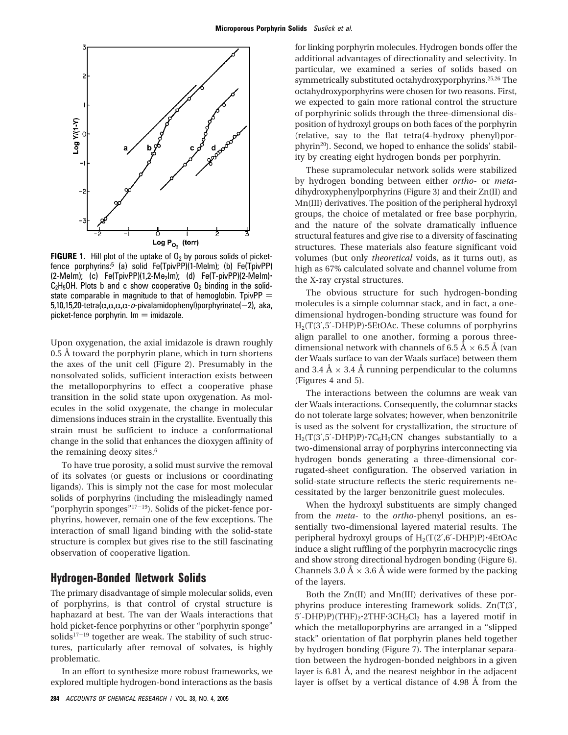

**FIGURE 1.** Hill plot of the uptake of  $0<sub>2</sub>$  by porous solids of picketfence porphyrins:<sup>5</sup> (a) solid Fe(TpivPP)(1-Melm); (b) Fe(TpivPP)  $(2-Melm)$ ; (c) Fe(TpivPP)(1,2-Me<sub>2</sub>Im); (d) Fe(T-pivPP)(2-MeIm) $\cdot$  $C_2H_5OH$ . Plots b and c show cooperative  $O_2$  binding in the solidstate comparable in magnitude to that of hemoglobin. TpivPP  $=$ 5,10,15,20-tetra $(\alpha,\alpha,\alpha,\alpha-\sigma$ -pivalamidophenyl)porphyrinate(-2), aka, picket-fence porphyrin.  $Im = imidazole$ .

Upon oxygenation, the axial imidazole is drawn roughly 0.5 Å toward the porphyrin plane, which in turn shortens the axes of the unit cell (Figure 2). Presumably in the nonsolvated solids, sufficient interaction exists between the metalloporphyrins to effect a cooperative phase transition in the solid state upon oxygenation. As molecules in the solid oxygenate, the change in molecular dimensions induces strain in the crystallite. Eventually this strain must be sufficient to induce a conformational change in the solid that enhances the dioxygen affinity of the remaining deoxy sites.<sup>6</sup>

To have true porosity, a solid must survive the removal of its solvates (or guests or inclusions or coordinating ligands). This is simply not the case for most molecular solids of porphyrins (including the misleadingly named "porphyrin sponges"17-19). Solids of the picket-fence porphyrins, however, remain one of the few exceptions. The interaction of small ligand binding with the solid-state structure is complex but gives rise to the still fascinating observation of cooperative ligation.

## **Hydrogen-Bonded Network Solids**

The primary disadvantage of simple molecular solids, even of porphyrins, is that control of crystal structure is haphazard at best. The van der Waals interactions that hold picket-fence porphyrins or other "porphyrin sponge" solids<sup>17-19</sup> together are weak. The stability of such structures, particularly after removal of solvates, is highly problematic.

In an effort to synthesize more robust frameworks, we explored multiple hydrogen-bond interactions as the basis

for linking porphyrin molecules. Hydrogen bonds offer the additional advantages of directionality and selectivity. In particular, we examined a series of solids based on symmetrically substituted octahydroxyporphyrins.<sup>25,26</sup> The octahydroxyporphyrins were chosen for two reasons. First, we expected to gain more rational control the structure of porphyrinic solids through the three-dimensional disposition of hydroxyl groups on both faces of the porphyrin (relative, say to the flat tetra(4-hydroxy phenyl)porphyrin20). Second, we hoped to enhance the solids' stability by creating eight hydrogen bonds per porphyrin.

These supramolecular network solids were stabilized by hydrogen bonding between either *ortho-* or *meta*dihydroxyphenylporphyrins (Figure 3) and their Zn(II) and Mn(III) derivatives. The position of the peripheral hydroxyl groups, the choice of metalated or free base porphyrin, and the nature of the solvate dramatically influence structural features and give rise to a diversity of fascinating structures. These materials also feature significant void volumes (but only *theoretical* voids, as it turns out), as high as 67% calculated solvate and channel volume from the X-ray crystal structures.

The obvious structure for such hydrogen-bonding molecules is a simple columnar stack, and in fact, a onedimensional hydrogen-bonding structure was found for  $H<sub>2</sub>(T(3',5'-DHP)P) \cdot 5EtOAC$ . These columns of porphyrins align parallel to one another, forming a porous threedimensional network with channels of 6.5 Å  $\times$  6.5 Å (van der Waals surface to van der Waals surface) between them and 3.4 Å  $\times$  3.4 Å running perpendicular to the columns (Figures 4 and 5).

The interactions between the columns are weak van der Waals interactions. Consequently, the columnar stacks do not tolerate large solvates; however, when benzonitrile is used as the solvent for crystallization, the structure of  $H_2(T(3', 5' - DHP)P) \cdot 7C_6H_5CN$  changes substantially to a two-dimensional array of porphyrins interconnecting via hydrogen bonds generating a three-dimensional corrugated-sheet configuration. The observed variation in solid-state structure reflects the steric requirements necessitated by the larger benzonitrile guest molecules.

When the hydroxyl substituents are simply changed from the *meta-* to the *ortho*-phenyl positions, an essentially two-dimensional layered material results. The peripheral hydroxyl groups of H<sub>2</sub>(T(2',6'-DHP)P)·4EtOAc induce a slight ruffling of the porphyrin macrocyclic rings and show strong directional hydrogen bonding (Figure 6). Channels 3.0 Å  $\times$  3.6 Å wide were formed by the packing of the layers.

Both the Zn(II) and Mn(III) derivatives of these porphyrins produce interesting framework solids. Zn(T(3′, 5'-DHP)P)(THF)<sub>2</sub>'2THF'3CH<sub>2</sub>Cl<sub>2</sub> has a layered motif in which the metalloporphyrins are arranged in a "slipped stack" orientation of flat porphyrin planes held together by hydrogen bonding (Figure 7). The interplanar separation between the hydrogen-bonded neighbors in a given layer is 6.81 Å, and the nearest neighbor in the adjacent layer is offset by a vertical distance of 4.98 Å from the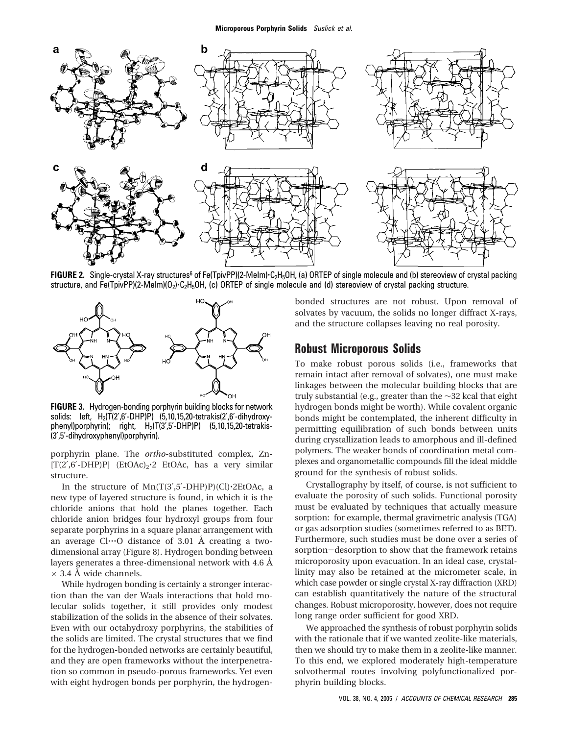

FIGURE 2. Single-crystal X-ray structures<sup>6</sup> of Fe(TpivPP)(2-MeIm)·C<sub>2</sub>H<sub>5</sub>OH, (a) ORTEP of single molecule and (b) stereoview of crystal packing structure, and Fe(TpivPP)(2-Melm)( $0_2$ )-C<sub>2</sub>H<sub>5</sub>OH, (c) ORTEP of single molecule and (d) stereoview of crystal packing structure.



**FIGURE 3.** Hydrogen-bonding porphyrin building blocks for network solids: left,  $H_2(T(2', 6' - DHP)P)$  (5,10,15,20-tetrakis(2',6'-dihydroxyphenyl)porphyrin); right,  $H_2(T(3',5'-DHP)P)$  (5,10,15,20-tetrakis-(3′,5′-dihydroxyphenyl)porphyrin).

porphyrin plane. The *ortho*-substituted complex, Zn-  $[T(2'6'-DHP)P]$  (EtOAc)<sub>2</sub>.2 EtOAc, has a very similar structure.

In the structure of  $Mn(T(3',5'-DHP)P)(Cl)\cdot 2EtOAc$ , a new type of layered structure is found, in which it is the chloride anions that hold the planes together. Each chloride anion bridges four hydroxyl groups from four separate porphyrins in a square planar arrangement with an average  $Cl...O$  distance of 3.01 Å creating a twodimensional array (Figure 8). Hydrogen bonding between layers generates a three-dimensional network with 4.6 Å  $\times$  3.4 Å wide channels.

While hydrogen bonding is certainly a stronger interaction than the van der Waals interactions that hold molecular solids together, it still provides only modest stabilization of the solids in the absence of their solvates. Even with our octahydroxy porphyrins, the stabilities of the solids are limited. The crystal structures that we find for the hydrogen-bonded networks are certainly beautiful, and they are open frameworks without the interpenetration so common in pseudo-porous frameworks. Yet even with eight hydrogen bonds per porphyrin, the hydrogenbonded structures are not robust. Upon removal of solvates by vacuum, the solids no longer diffract X-rays, and the structure collapses leaving no real porosity.

## **Robust Microporous Solids**

To make robust porous solids (i.e., frameworks that remain intact after removal of solvates), one must make linkages between the molecular building blocks that are truly substantial (e.g., greater than the ∼32 kcal that eight hydrogen bonds might be worth). While covalent organic bonds might be contemplated, the inherent difficulty in permitting equilibration of such bonds between units during crystallization leads to amorphous and ill-defined polymers. The weaker bonds of coordination metal complexes and organometallic compounds fill the ideal middle ground for the synthesis of robust solids.

Crystallography by itself, of course, is not sufficient to evaluate the porosity of such solids. Functional porosity must be evaluated by techniques that actually measure sorption: for example, thermal gravimetric analysis (TGA) or gas adsorption studies (sometimes referred to as BET). Furthermore, such studies must be done over a series of sorption-desorption to show that the framework retains microporosity upon evacuation. In an ideal case, crystallinity may also be retained at the micrometer scale, in which case powder or single crystal X-ray diffraction (XRD) can establish quantitatively the nature of the structural changes. Robust microporosity, however, does not require long range order sufficient for good XRD.

We approached the synthesis of robust porphyrin solids with the rationale that if we wanted zeolite-like materials, then we should try to make them in a zeolite-like manner. To this end, we explored moderately high-temperature solvothermal routes involving polyfunctionalized porphyrin building blocks.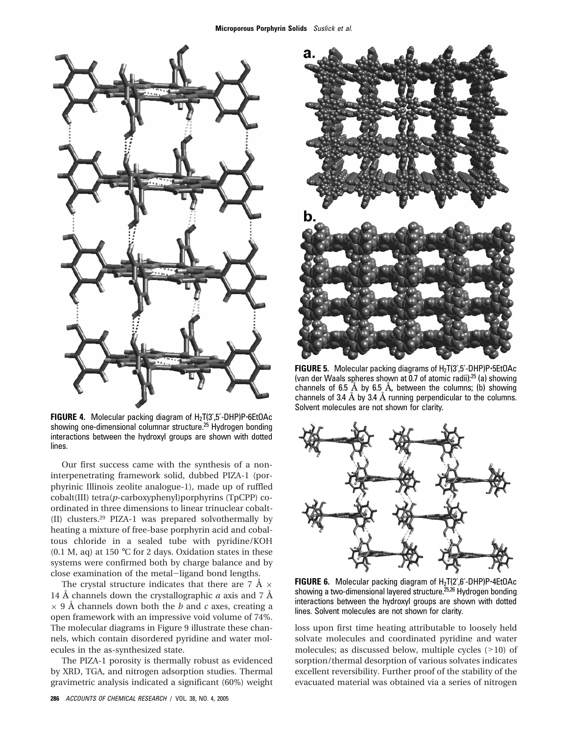

**FIGURE 4.** Molecular packing diagram of H<sub>2</sub>T(3',5'-DHP)P-6EtOAc showing one-dimensional columnar structure.<sup>25</sup> Hydrogen bonding interactions between the hydroxyl groups are shown with dotted lines.

Our first success came with the synthesis of a noninterpenetrating framework solid, dubbed PIZA-1 (porphyrinic Illinois zeolite analogue-1), made up of ruffled cobalt(III) tetra(*p*-carboxyphenyl)porphyrins (TpCPP) coordinated in three dimensions to linear trinuclear cobalt- (II) clusters.<sup>29</sup> PIZA-1 was prepared solvothermally by heating a mixture of free-base porphyrin acid and cobaltous chloride in a sealed tube with pyridine/KOH (0.1 M, aq) at 150  $\degree$ C for 2 days. Oxidation states in these systems were confirmed both by charge balance and by close examination of the metal-ligand bond lengths.

The crystal structure indicates that there are 7 Å  $\times$ 14 Å channels down the crystallographic *a* axis and 7 Å × 9 Å channels down both the *b* and *c* axes, creating a open framework with an impressive void volume of 74%. The molecular diagrams in Figure 9 illustrate these channels, which contain disordered pyridine and water molecules in the as-synthesized state.

The PIZA-1 porosity is thermally robust as evidenced by XRD, TGA, and nitrogen adsorption studies. Thermal gravimetric analysis indicated a significant (60%) weight



**FIGURE 5.** Molecular packing diagrams of H<sub>2</sub>T(3',5'-DHP)P-5EtOAc (van der Waals spheres shown at 0.7 of atomic radii):<sup>25</sup> (a) showing channels of 6.5  $\AA$  by 6.5  $\AA$ , between the columns; (b) showing channels of 3.4 Å by 3.4 Å running perpendicular to the columns. Solvent molecules are not shown for clarity.



**FIGURE 6.** Molecular packing diagram of H<sub>2</sub>T(2',6'-DHP)P-4EtOAc showing a two-dimensional layered structure.25,26 Hydrogen bonding interactions between the hydroxyl groups are shown with dotted lines. Solvent molecules are not shown for clarity.

loss upon first time heating attributable to loosely held solvate molecules and coordinated pyridine and water molecules; as discussed below, multiple cycles (>10) of sorption/thermal desorption of various solvates indicates excellent reversibility. Further proof of the stability of the evacuated material was obtained via a series of nitrogen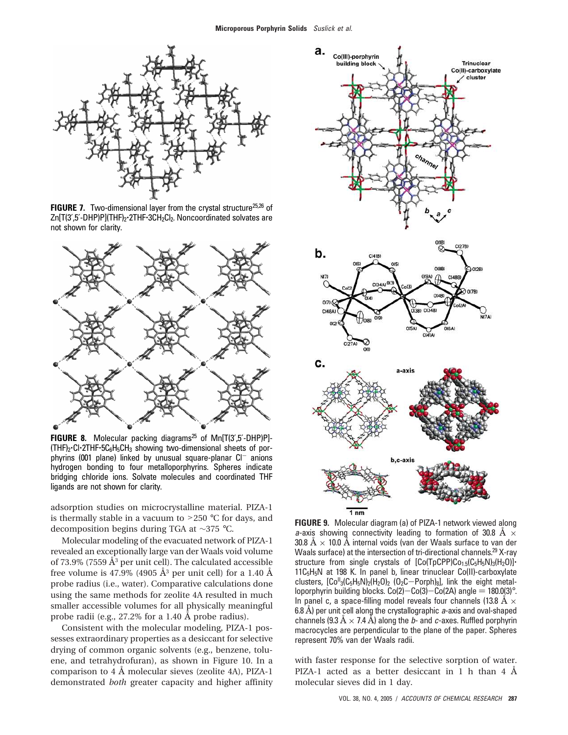

**FIGURE 7.** Two-dimensional layer from the crystal structure<sup>25,26</sup> of Zn[T(3',5'-DHP)P](THF)<sub>2</sub>.2THF.3CH<sub>2</sub>Cl<sub>2</sub>. Noncoordinated solvates are not shown for clarity.



FIGURE 8. Molecular packing diagrams<sup>25</sup> of Mn[T(3',5'-DHP)P]- $(THF)<sub>2</sub>$  Cl 2THF $\cdot$ 5C<sub>6</sub>H<sub>5</sub>CH<sub>3</sub> showing two-dimensional sheets of porphyrins (001 plane) linked by unusual square-planar  $Cl^-$  anions hydrogen bonding to four metalloporphyrins. Spheres indicate bridging chloride ions. Solvate molecules and coordinated THF ligands are not shown for clarity.

adsorption studies on microcrystalline material. PIZA-1 is thermally stable in a vacuum to  $>250$  °C for days, and decomposition begins during TGA at ∼375 °C.

Molecular modeling of the evacuated network of PIZA-1 revealed an exceptionally large van der Waals void volume of 73.9% (7559  $\AA$ <sup>3</sup> per unit cell). The calculated accessible free volume is 47.9% (4905  $\AA$ <sup>3</sup> per unit cell) for a 1.40  $\AA$ probe radius (i.e., water). Comparative calculations done using the same methods for zeolite 4A resulted in much smaller accessible volumes for all physically meaningful probe radii (e.g., 27.2% for a 1.40 Å probe radius).

Consistent with the molecular modeling, PIZA-1 possesses extraordinary properties as a desiccant for selective drying of common organic solvents (e.g., benzene, toluene, and tetrahydrofuran), as shown in Figure 10. In a comparison to 4 Å molecular sieves (zeolite 4A), PIZA-1 demonstrated *both* greater capacity and higher affinity



**FIGURE 9.** Molecular diagram (a) of PIZA-1 network viewed along a-axis showing connectivity leading to formation of 30.8 Å  $\times$ 30.8 Å  $\times$  10.0 Å internal voids (van der Waals surface to van der Waals surface) at the intersection of tri-directional channels.<sup>29</sup> X-ray structure from single crystals of  $[Co(TpCPP)Co_{1.5}(C_5H_5N)_3(H_2O)]$ 11C<sub>5</sub>H<sub>5</sub>N at 198 K. In panel b, linear trinuclear Co(II)-carboxylate clusters,  $[Co<sup>H</sup>3(C<sub>5</sub>H<sub>5</sub>N)<sub>2</sub>(H<sub>2</sub>O)<sub>2</sub> (O<sub>2</sub>C-Porph)<sub>8</sub>]$ , link the eight metalloporphyrin building blocks.  $Co(2)-Co(3)-Co(2A)$  angle =  $180.0(3)^\circ$ . In panel c, a space-filling model reveals four channels (13.8  $\AA \times$ 6.8 Å) per unit cell along the crystallographic  $a$ -axis and oval-shaped channels (9.3  $\dot{A} \times 7.4$  Å) along the *b*- and *c*-axes. Ruffled porphyrin macrocycles are perpendicular to the plane of the paper. Spheres represent 70% van der Waals radii.

with faster response for the selective sorption of water. PIZA-1 acted as a better desiccant in 1 h than 4 Å molecular sieves did in 1 day.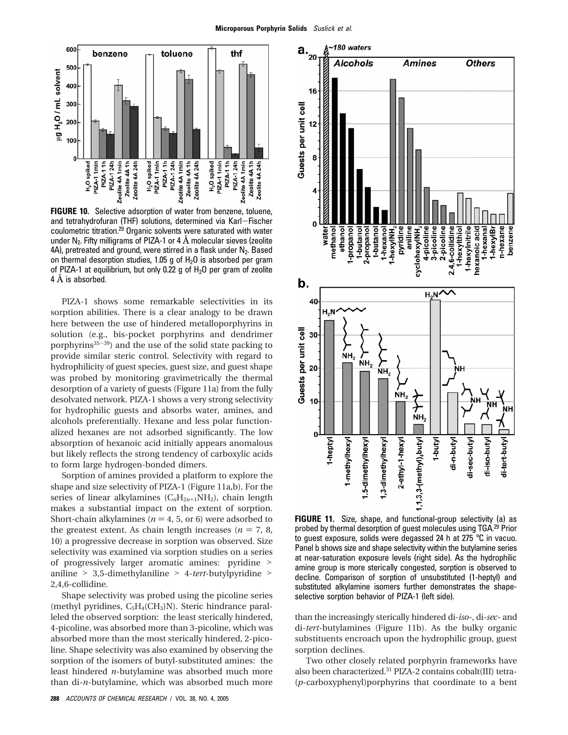

**FIGURE 10.** Selective adsorption of water from benzene, toluene, and tetrahydrofuran (THF) solutions, determined via Karl-Fischer coulometric titration.<sup>29</sup> Organic solvents were saturated with water under  $N_2$ . Fifty milligrams of PIZA-1 or 4  $\AA$  molecular sieves (zeolite 4A), pretreated and ground, were stirred in a flask under  $N_2$ . Based on thermal desorption studies, 1.05 g of  $H<sub>2</sub>O$  is absorbed per gram of PIZA-1 at equilibrium, but only 0.22 g of  $H<sub>2</sub>O$  per gram of zeolite 4 Å is absorbed.

PIZA-1 shows some remarkable selectivities in its sorption abilities. There is a clear analogy to be drawn here between the use of hindered metalloporphyrins in solution (e.g., bis-pocket porphyrins and dendrimer porphyrins $35-39$ ) and the use of the solid state packing to provide similar steric control. Selectivity with regard to hydrophilicity of guest species, guest size, and guest shape was probed by monitoring gravimetrically the thermal desorption of a variety of guests (Figure 11a) from the fully desolvated network. PIZA-1 shows a very strong selectivity for hydrophilic guests and absorbs water, amines, and alcohols preferentially. Hexane and less polar functionalized hexanes are not adsorbed significantly. The low absorption of hexanoic acid initially appears anomalous but likely reflects the strong tendency of carboxylic acids to form large hydrogen-bonded dimers.

Sorption of amines provided a platform to explore the shape and size selectivity of PIZA-1 (Figure 11a,b). For the series of linear alkylamines (C<sub>n</sub>H<sub>2n+1</sub>NH<sub>2</sub>), chain length makes a substantial impact on the extent of sorption. Short-chain alkylamines ( $n = 4, 5$ , or 6) were adsorbed to the greatest extent. As chain length increases ( $n = 7, 8$ , 10) a progressive decrease in sorption was observed. Size selectivity was examined via sorption studies on a series of progressively larger aromatic amines: pyridine > aniline > 3,5-dimethylaniline > 4-*tert*-butylpyridine > 2,4,6-collidine.

Shape selectivity was probed using the picoline series (methyl pyridines,  $C_5H_4(CH_3)N$ ). Steric hindrance paralleled the observed sorption: the least sterically hindered, 4-picoline, was absorbed more than 3-picoline, which was absorbed more than the most sterically hindered, 2-picoline. Shape selectivity was also examined by observing the sorption of the isomers of butyl-substituted amines: the least hindered *n*-butylamine was absorbed much more than di-*n*-butylamine, which was absorbed much more



**FIGURE 11.** Size, shape, and functional-group selectivity (a) as probed by thermal desorption of guest molecules using TGA.<sup>29</sup> Prior to guest exposure, solids were degassed 24 h at 275 °C in vacuo. Panel b shows size and shape selectivity within the butylamine series at near-saturation exposure levels (right side). As the hydrophilic amine group is more sterically congested, sorption is observed to decline. Comparison of sorption of unsubstituted (1-heptyl) and substituted alkylamine isomers further demonstrates the shapeselective sorption behavior of PIZA-1 (left side).

than the increasingly sterically hindered di-*iso-*, di-*sec-* and di-*tert*-butylamines (Figure 11b). As the bulky organic substituents encroach upon the hydrophilic group, guest sorption declines.

Two other closely related porphyrin frameworks have also been characterized.<sup>31</sup> PIZA-2 contains cobalt(III) tetra- (*p*-carboxyphenyl)porphyrins that coordinate to a bent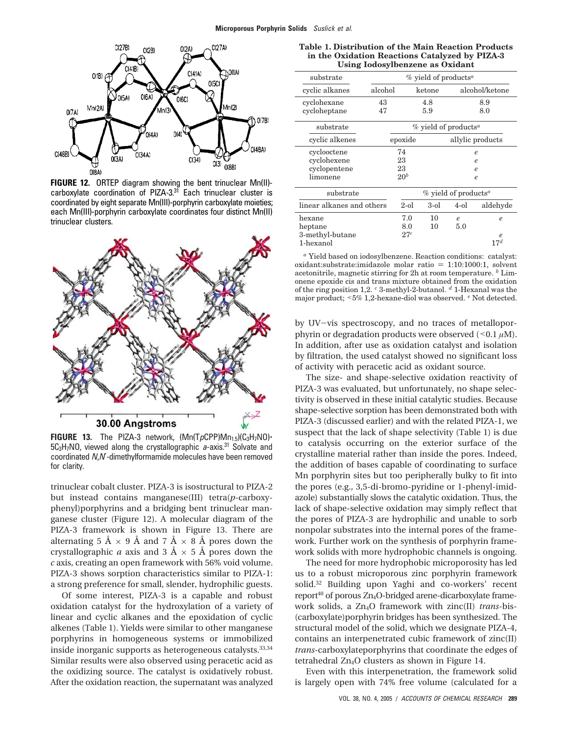

**FIGURE 12.** ORTEP diagram showing the bent trinuclear Mn(II) carboxylate coordination of PIZA-3.<sup>31</sup> Each trinuclear cluster is coordinated by eight separate Mn(III)-porphyrin carboxylate moieties; each Mn(III)-porphyrin carboxylate coordinates four distinct Mn(II) trinuclear clusters.



**FIGURE 13.** The PIZA-3 network,  $(Mn(TpCPP)Mn_{1.5})(C_3H_7N0)$ 5C<sub>3</sub>H<sub>7</sub>NO, viewed along the crystallographic a-axis.<sup>31</sup> Solvate and coordinated N,N′-dimethylformamide molecules have been removed for clarity.

trinuclear cobalt cluster. PIZA-3 is isostructural to PIZA-2 but instead contains manganese(III) tetra(*p*-carboxyphenyl)porphyrins and a bridging bent trinuclear manganese cluster (Figure 12). A molecular diagram of the PIZA-3 framework is shown in Figure 13. There are alternating 5 Å  $\times$  9 Å and 7 Å  $\times$  8 Å pores down the crystallographic *a* axis and  $3 \text{ Å} \times 5 \text{ Å}$  pores down the *c* axis, creating an open framework with 56% void volume. PIZA-3 shows sorption characteristics similar to PIZA-1: a strong preference for small, slender, hydrophilic guests.

Of some interest, PIZA-3 is a capable and robust oxidation catalyst for the hydroxylation of a variety of linear and cyclic alkanes and the epoxidation of cyclic alkenes (Table 1). Yields were similar to other manganese porphyrins in homogeneous systems or immobilized inside inorganic supports as heterogeneous catalysts.33,34 Similar results were also observed using peracetic acid as the oxidizing source. The catalyst is oxidatively robust. After the oxidation reaction, the supernatant was analyzed

| Table 1. Distribution of the Main Reaction Products |
|-----------------------------------------------------|
| in the Oxidation Reactions Catalyzed by PIZA-3      |
| Using Iodosylbenzene as Oxidant                     |

| USING TOUOSYLOCHZENE as OXIUANI |         |                                     |                     |                |                     |  |  |
|---------------------------------|---------|-------------------------------------|---------------------|----------------|---------------------|--|--|
| substrate                       |         | % yield of products <sup>a</sup>    |                     |                |                     |  |  |
| cyclic alkanes                  | alcohol | $\rm ketone$                        |                     | alcohol/ketone |                     |  |  |
| cyclohexane                     | 43      |                                     | 4.8                 | 8.9            |                     |  |  |
| cycloheptane                    | 47      |                                     | 5.9                 |                | 8.0                 |  |  |
| substrate                       |         | % yield of products <sup>a</sup>    |                     |                |                     |  |  |
| cyclic alkenes                  |         | epoxide<br>allylic products         |                     |                |                     |  |  |
| cyclooctene                     |         | 74                                  | $\boldsymbol{\rho}$ |                |                     |  |  |
| cyclohexene                     |         | 23<br>$\boldsymbol{\rho}$           |                     |                |                     |  |  |
| cyclopentene                    |         | 23<br>$\boldsymbol{\rho}$           |                     |                |                     |  |  |
| limonene                        |         | 20 <sup>b</sup><br>$\boldsymbol{e}$ |                     |                |                     |  |  |
| substrate                       |         | $%$ yield of products <sup>a</sup>  |                     |                |                     |  |  |
| linear alkanes and others       |         | $2-0l$                              | $3-ol$              | $4-01$         | aldehyde            |  |  |
| hexane                          |         | 7.0                                 | 10                  | $\mathcal{C}$  | $\boldsymbol{\rho}$ |  |  |
| heptane                         |         | 8.0                                 | 10                  | 5.0            |                     |  |  |
| 3-methyl-butane                 |         | 27c                                 |                     |                | $\boldsymbol{e}$    |  |  |
| 1-hexanol                       |         |                                     |                     |                | 17 <sup>d</sup>     |  |  |

*<sup>a</sup>* Yield based on iodosylbenzene. Reaction conditions: catalyst:  $oxidant:substrate: imidazole molar ratio = 1:10:1000:1, solvent$ acetonitrile, magnetic stirring for 2h at room temperature. *<sup>b</sup>* Limonene epoxide cis and trans mixture obtained from the oxidation of the ring position 1,2. *<sup>c</sup>* 3-methyl-2-butanol. *<sup>d</sup>* 1-Hexanal was the major product; <5% 1,2-hexane-diol was observed. *<sup>e</sup>* Not detected.

by UV-vis spectroscopy, and no traces of metalloporphyrin or degradation products were observed  $($  < 0.1  $\mu$ M). In addition, after use as oxidation catalyst and isolation by filtration, the used catalyst showed no significant loss of activity with peracetic acid as oxidant source.

The size- and shape-selective oxidation reactivity of PIZA-3 was evaluated, but unfortunately, no shape selectivity is observed in these initial catalytic studies. Because shape-selective sorption has been demonstrated both with PIZA-3 (discussed earlier) and with the related PIZA-1, we suspect that the lack of shape selectivity (Table 1) is due to catalysis occurring on the exterior surface of the crystalline material rather than inside the pores. Indeed, the addition of bases capable of coordinating to surface Mn porphyrin sites but too peripherally bulky to fit into the pores (e.g., 3,5-di-bromo-pyridine or 1-phenyl-imidazole) substantially slows the catalytic oxidation. Thus, the lack of shape-selective oxidation may simply reflect that the pores of PIZA-3 are hydrophilic and unable to sorb nonpolar substrates into the internal pores of the framework. Further work on the synthesis of porphyrin framework solids with more hydrophobic channels is ongoing.

The need for more hydrophobic microporosity has led us to a robust microporous zinc porphyrin framework solid.<sup>32</sup> Building upon Yaghi and co-workers' recent report $40$  of porous Zn<sub>4</sub>O-bridged arene-dicarboxylate framework solids, a Zn4O framework with zinc(II) *trans*-bis- (carboxylate)porphyrin bridges has been synthesized. The structural model of the solid, which we designate PIZA-4, contains an interpenetrated cubic framework of zinc(II) *trans*-carboxylateporphyrins that coordinate the edges of tetrahedral Zn4O clusters as shown in Figure 14.

Even with this interpenetration, the framework solid is largely open with 74% free volume (calculated for a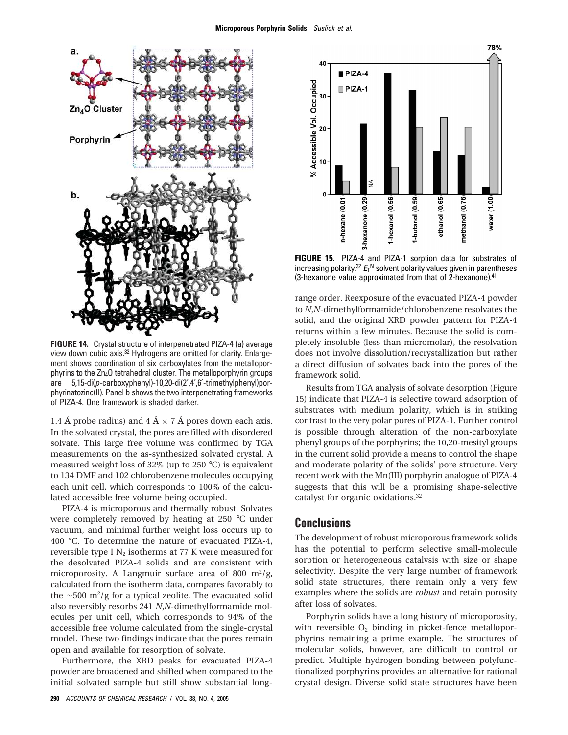

**FIGURE 14.** Crystal structure of interpenetrated PIZA-4 (a) average view down cubic axis.<sup>32</sup> Hydrogens are omitted for clarity. Enlargement shows coordination of six carboxylates from the metalloporphyrins to the Zn4O tetrahedral cluster. The metalloporphyrin groups are 5,15-di(p-carboxyphenyl)-10,20-di(2′,4′,6′-trimethylphenyl)porphyrinatozinc(II). Panel b shows the two interpenetrating frameworks of PIZA-4. One framework is shaded darker.

1.4 Å probe radius) and  $4 \text{ Å} \times 7 \text{ Å}$  pores down each axis. In the solvated crystal, the pores are filled with disordered solvate. This large free volume was confirmed by TGA measurements on the as-synthesized solvated crystal. A measured weight loss of 32% (up to 250 °C) is equivalent to 134 DMF and 102 chlorobenzene molecules occupying each unit cell, which corresponds to 100% of the calculated accessible free volume being occupied.

PIZA-4 is microporous and thermally robust. Solvates were completely removed by heating at 250 °C under vacuum, and minimal further weight loss occurs up to 400 °C. To determine the nature of evacuated PIZA-4, reversible type I  $N_2$  isotherms at 77 K were measured for the desolvated PIZA-4 solids and are consistent with microporosity. A Langmuir surface area of 800 m<sup>2</sup>/g, calculated from the isotherm data, compares favorably to the ∼500 m<sup>2</sup>/g for a typical zeolite. The evacuated solid also reversibly resorbs 241 *N*,*N*-dimethylformamide molecules per unit cell, which corresponds to 94% of the accessible free volume calculated from the single-crystal model. These two findings indicate that the pores remain open and available for resorption of solvate.

Furthermore, the XRD peaks for evacuated PIZA-4 powder are broadened and shifted when compared to the initial solvated sample but still show substantial long-



**FIGURE 15.** PIZA-4 and PIZA-1 sorption data for substrates of increasing polarity.<sup>32</sup>  $E_l$ <sup>N</sup> solvent polarity values given in parentheses (3-hexanone value approximated from that of 2-hexanone).<sup>41</sup>

range order. Reexposure of the evacuated PIZA-4 powder to *N*,*N*-dimethylformamide/chlorobenzene resolvates the solid, and the original XRD powder pattern for PIZA-4 returns within a few minutes. Because the solid is completely insoluble (less than micromolar), the resolvation does not involve dissolution/recrystallization but rather a direct diffusion of solvates back into the pores of the framework solid.

Results from TGA analysis of solvate desorption (Figure 15) indicate that PIZA-4 is selective toward adsorption of substrates with medium polarity, which is in striking contrast to the very polar pores of PIZA-1. Further control is possible through alteration of the non-carboxylate phenyl groups of the porphyrins; the 10,20-mesityl groups in the current solid provide a means to control the shape and moderate polarity of the solids' pore structure. Very recent work with the Mn(III) porphyrin analogue of PIZA-4 suggests that this will be a promising shape-selective catalyst for organic oxidations.<sup>32</sup>

### **Conclusions**

The development of robust microporous framework solids has the potential to perform selective small-molecule sorption or heterogeneous catalysis with size or shape selectivity. Despite the very large number of framework solid state structures, there remain only a very few examples where the solids are *robust* and retain porosity after loss of solvates.

Porphyrin solids have a long history of microporosity, with reversible  $O_2$  binding in picket-fence metalloporphyrins remaining a prime example. The structures of molecular solids, however, are difficult to control or predict. Multiple hydrogen bonding between polyfunctionalized porphyrins provides an alternative for rational crystal design. Diverse solid state structures have been